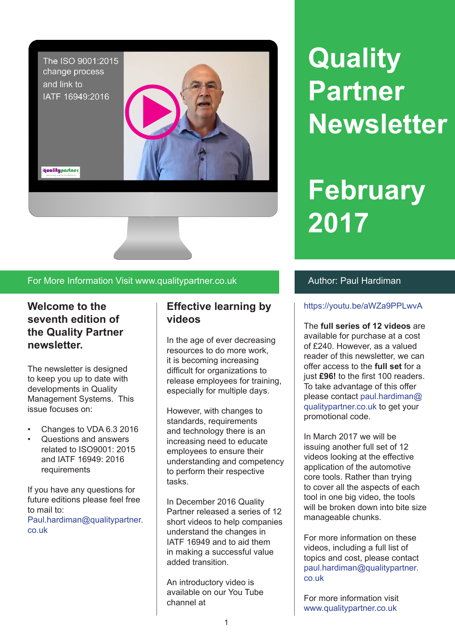

### For More Information Visit www.qualitypartner.co.uk **Author: Paul Hardiman**

# **Welcome to the seventh edition of the Quality Partner newsletter.**

The newsletter is designed to keep you up to date with developments in Quality Management Systems. This issue focuses on:

- Changes to VDA 6.3 2016
- Questions and answers related to ISO9001: 2015 and IATF 16949: 2016 requirements

If you have any questions for future editions please feel free to mail to: Paul.hardiman@qualitypartner. co.uk

### **Effective learning by videos**

In the age of ever decreasing resources to do more work, it is becoming increasing difficult for organizations to release employees for training, especially for multiple days.

However, with changes to standards, requirements and technology there is an increasing need to educate employees to ensure their understanding and competency to perform their respective tasks.

In December 2016 Quality Partner released a series of 12 short videos to help companies understand the changes in IATF 16949 and to aid them in making a successful value added transition.

An introductory video is available on our You Tube channel at

# **Quality Partner Newsletter**

# **February 2017**

#### https://youtu.be/aWZa9PPLwvA

The **full series of 12 videos** are available for purchase at a cost of £240. However, as a valued reader of this newsletter, we can offer access to the **full set** for a just **£96!** to the first 100 readers. To take advantage of this offer please contact paul.hardiman@ qualitypartner.co.uk to get your promotional code.

In March 2017 we will be issuing another full set of 12 videos looking at the effective application of the automotive core tools. Rather than trying to cover all the aspects of each tool in one big video, the tools will be broken down into bite size manageable chunks.

For more information on these videos, including a full list of topics and cost, please contact paul.hardiman@qualitypartner. co.uk

For more information visit www.qualitypartner.co.uk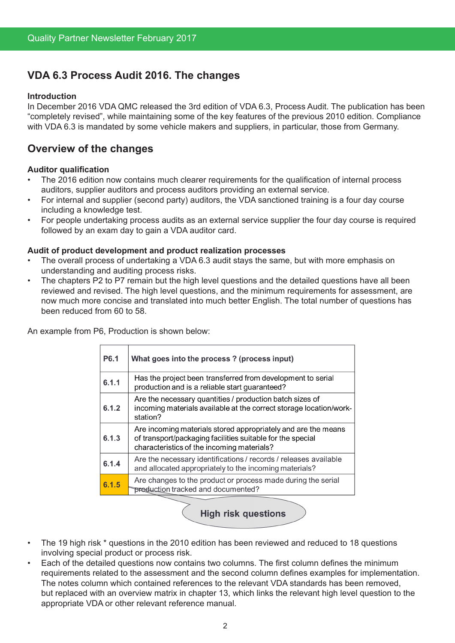# **VDA 6.3 Process Audit 2016. The changes**

#### **Introduction**

In December 2016 VDA QMC released the 3rd edition of VDA 6.3, Process Audit. The publication has been "completely revised", while maintaining some of the key features of the previous 2010 edition. Compliance with VDA 6.3 is mandated by some vehicle makers and suppliers, in particular, those from Germany.

## **Overview of the changes**

#### **Auditor qualification**

- The 2016 edition now contains much clearer requirements for the qualification of internal process auditors, supplier auditors and process auditors providing an external service.
- For internal and supplier (second party) auditors, the VDA sanctioned training is a four day course including a knowledge test.
- For people undertaking process audits as an external service supplier the four day course is required followed by an exam day to gain a VDA auditor card.

#### **Audit of product development and product realization processes**

- The overall process of undertaking a VDA 6.3 audit stays the same, but with more emphasis on understanding and auditing process risks.
- The chapters P2 to P7 remain but the high level questions and the detailed questions have all been reviewed and revised. The high level questions, and the minimum requirements for assessment, are now much more concise and translated into much better English. The total number of questions has been reduced from 60 to 58.

An example from P6, Production is shown below:

| P <sub>6.1</sub> | What goes into the process? (process input)                                                                                                                               |
|------------------|---------------------------------------------------------------------------------------------------------------------------------------------------------------------------|
| 6.1.1            | Has the project been transferred from development to serial<br>production and is a reliable start guaranteed?                                                             |
| 6.1.2            | Are the necessary quantities / production batch sizes of<br>incoming materials available at the correct storage location/work-<br>station?                                |
| 6.1.3            | Are incoming materials stored appropriately and are the means<br>of transport/packaging facilities suitable for the special<br>characteristics of the incoming materials? |
| 6.1.4            | Are the necessary identifications / records / releases available<br>and allocated appropriately to the incoming materials?                                                |
| 6.1.5            | Are changes to the product or process made during the serial<br>production tracked and documented?                                                                        |
|                  |                                                                                                                                                                           |

**High risk questions** 

- The 19 high risk \* questions in the 2010 edition has been reviewed and reduced to 18 questions involving special product or process risk.
- Each of the detailed questions now contains two columns. The first column defines the minimum requirements related to the assessment and the second column defines examples for implementation. The notes column which contained references to the relevant VDA standards has been removed, but replaced with an overview matrix in chapter 13, which links the relevant high level question to the appropriate VDA or other relevant reference manual.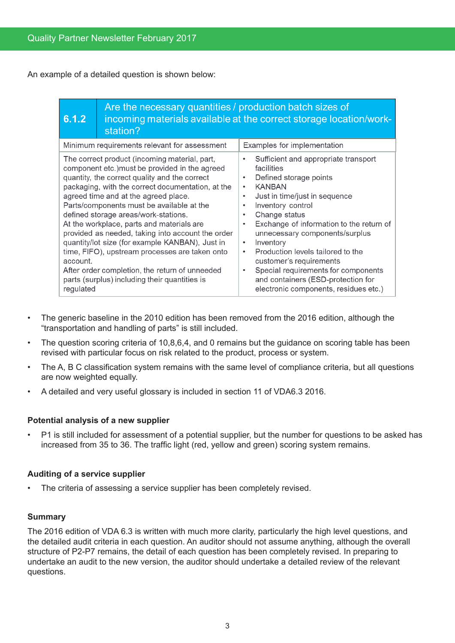An example of a detailed question is shown below:

#### Are the necessary quantities / production batch sizes of  $6.1.2$ incoming materials available at the correct storage location/workstation?

| Minimum requirements relevant for assessment                                                                                                                                                                                                                                                                                                                                                                                                                                                                                                                                                                                                                          | Examples for implementation                                                                                                                                                                                                                                                                                                                                                                                                                                |
|-----------------------------------------------------------------------------------------------------------------------------------------------------------------------------------------------------------------------------------------------------------------------------------------------------------------------------------------------------------------------------------------------------------------------------------------------------------------------------------------------------------------------------------------------------------------------------------------------------------------------------------------------------------------------|------------------------------------------------------------------------------------------------------------------------------------------------------------------------------------------------------------------------------------------------------------------------------------------------------------------------------------------------------------------------------------------------------------------------------------------------------------|
| The correct product (incoming material, part,<br>component etc.) must be provided in the agreed<br>quantity, the correct quality and the correct<br>packaging, with the correct documentation, at the<br>agreed time and at the agreed place.<br>Parts/components must be available at the<br>defined storage areas/work-stations.<br>At the workplace, parts and materials are<br>provided as needed, taking into account the order<br>quantity/lot size (for example KANBAN), Just in<br>time, FIFO), upstream processes are taken onto<br>account.<br>After order completion, the return of unneeded<br>parts (surplus) including their quantities is<br>regulated | Sufficient and appropriate transport<br>facilities<br>Defined storage points<br><b>KANBAN</b><br>Just in time/just in sequence<br>Inventory control<br>Change status<br>Exchange of information to the return of<br>unnecessary components/surplus<br>Inventory<br>Production levels tailored to the<br>٠<br>customer's requirements<br>Special requirements for components<br>and containers (ESD-protection for<br>electronic components, residues etc.) |

- The generic baseline in the 2010 edition has been removed from the 2016 edition, although the "transportation and handling of parts" is still included.
- The question scoring criteria of 10,8,6,4, and 0 remains but the guidance on scoring table has been revised with particular focus on risk related to the product, process or system.
- The A, B C classification system remains with the same level of compliance criteria, but all questions are now weighted equally.
- A detailed and very useful glossary is included in section 11 of VDA6.3 2016.

#### **Potential analysis of a new supplier**

P1 is still included for assessment of a potential supplier, but the number for questions to be asked has increased from 35 to 36. The traffic light (red, yellow and green) scoring system remains.

#### **Auditing of a service supplier**

The criteria of assessing a service supplier has been completely revised.

#### **Summary**

The 2016 edition of VDA 6.3 is written with much more clarity, particularly the high level questions, and the detailed audit criteria in each question. An auditor should not assume anything, although the overall structure of P2-P7 remains, the detail of each question has been completely revised. In preparing to undertake an audit to the new version, the auditor should undertake a detailed review of the relevant questions.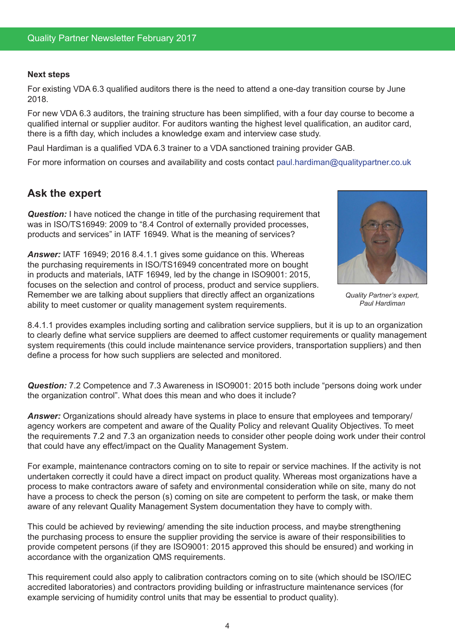#### **Next steps**

For existing VDA 6.3 qualified auditors there is the need to attend a one-day transition course by June 2018.

For new VDA 6.3 auditors, the training structure has been simplified, with a four day course to become a qualified internal or supplier auditor. For auditors wanting the highest level qualification, an auditor card, there is a fifth day, which includes a knowledge exam and interview case study.

Paul Hardiman is a qualified VDA 6.3 trainer to a VDA sanctioned training provider GAB.

For more information on courses and availability and costs contact paul.hardiman@qualitypartner.co.uk

### **Ask the expert**

*Question:* I have noticed the change in title of the purchasing requirement that was in ISO/TS16949: 2009 to "8.4 Control of externally provided processes, products and services" in IATF 16949. What is the meaning of services?



*Quality Partner's expert, Paul Hardiman*

*Answer:* IATF 16949; 2016 8.4.1.1 gives some guidance on this. Whereas the purchasing requirements in ISO/TS16949 concentrated more on bought in products and materials, IATF 16949, led by the change in ISO9001: 2015, focuses on the selection and control of process, product and service suppliers. Remember we are talking about suppliers that directly affect an organizations ability to meet customer or quality management system requirements.

8.4.1.1 provides examples including sorting and calibration service suppliers, but it is up to an organization to clearly define what service suppliers are deemed to affect customer requirements or quality management system requirements (this could include maintenance service providers, transportation suppliers) and then define a process for how such suppliers are selected and monitored.

*Question:* 7.2 Competence and 7.3 Awareness in ISO9001: 2015 both include "persons doing work under the organization control". What does this mean and who does it include?

**Answer:** Organizations should already have systems in place to ensure that employees and temporary/ agency workers are competent and aware of the Quality Policy and relevant Quality Objectives. To meet the requirements 7.2 and 7.3 an organization needs to consider other people doing work under their control that could have any effect/impact on the Quality Management System.

For example, maintenance contractors coming on to site to repair or service machines. If the activity is not undertaken correctly it could have a direct impact on product quality. Whereas most organizations have a process to make contractors aware of safety and environmental consideration while on site, many do not have a process to check the person (s) coming on site are competent to perform the task, or make them aware of any relevant Quality Management System documentation they have to comply with.

This could be achieved by reviewing/ amending the site induction process, and maybe strengthening the purchasing process to ensure the supplier providing the service is aware of their responsibilities to provide competent persons (if they are ISO9001: 2015 approved this should be ensured) and working in accordance with the organization QMS requirements.

This requirement could also apply to calibration contractors coming on to site (which should be ISO/IEC accredited laboratories) and contractors providing building or infrastructure maintenance services (for example servicing of humidity control units that may be essential to product quality).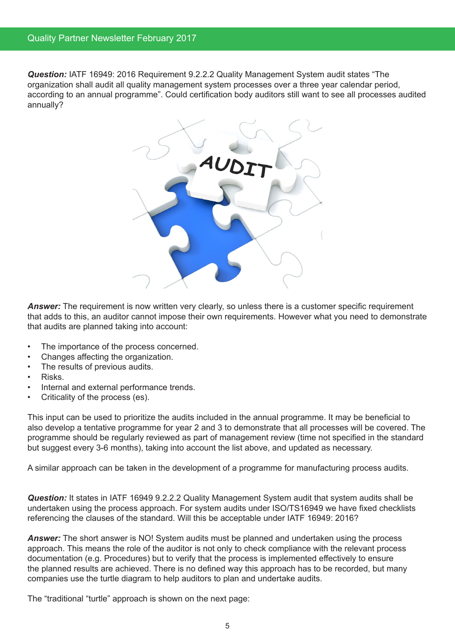*Question:* IATF 16949: 2016 Requirement 9.2.2.2 Quality Management System audit states "The organization shall audit all quality management system processes over a three year calendar period, according to an annual programme". Could certification body auditors still want to see all processes audited annually?



*Answer:* The requirement is now written very clearly, so unless there is a customer specific requirement that adds to this, an auditor cannot impose their own requirements. However what you need to demonstrate that audits are planned taking into account:

- The importance of the process concerned.
- Changes affecting the organization.
- The results of previous audits.
- Risks.
- Internal and external performance trends.
- Criticality of the process (es).

This input can be used to prioritize the audits included in the annual programme. It may be beneficial to also develop a tentative programme for year 2 and 3 to demonstrate that all processes will be covered. The programme should be regularly reviewed as part of management review (time not specified in the standard but suggest every 3-6 months), taking into account the list above, and updated as necessary.

A similar approach can be taken in the development of a programme for manufacturing process audits.

**Question:** It states in IATF 16949 9.2.2.2 Quality Management System audit that system audits shall be undertaken using the process approach. For system audits under ISO/TS16949 we have fixed checklists referencing the clauses of the standard. Will this be acceptable under IATF 16949: 2016?

**Answer:** The short answer is NO! System audits must be planned and undertaken using the process approach. This means the role of the auditor is not only to check compliance with the relevant process documentation (e.g. Procedures) but to verify that the process is implemented effectively to ensure the planned results are achieved. There is no defined way this approach has to be recorded, but many companies use the turtle diagram to help auditors to plan and undertake audits.

The "traditional "turtle" approach is shown on the next page: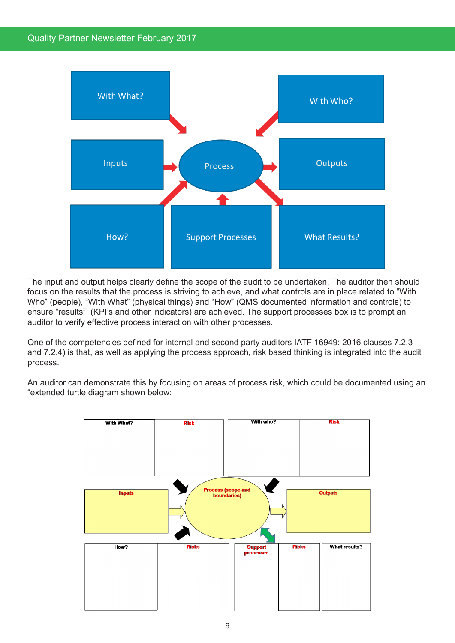### Quality Partner Newsletter February 2017



The input and output helps clearly define the scope of the audit to be undertaken. The auditor then should focus on the results that the process is striving to achieve, and what controls are in place related to "With Who" (people), "With What" (physical things) and "How" (QMS documented information and controls) to ensure "results" (KPI's and other indicators) are achieved. The support processes box is to prompt an auditor to verify effective process interaction with other processes.

One of the competencies defined for internal and second party auditors IATF 16949: 2016 clauses 7.2.3 and 7.2.4) is that, as well as applying the process approach, risk based thinking is integrated into the audit process.

An auditor can demonstrate this by focusing on areas of process risk, which could be documented using an "extended turtle diagram shown below:

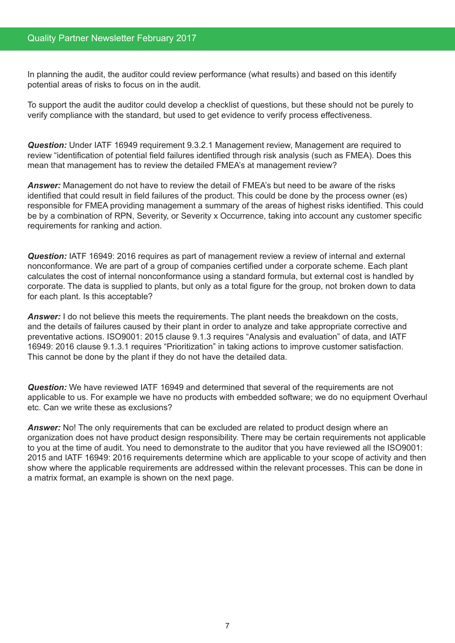In planning the audit, the auditor could review performance (what results) and based on this identify potential areas of risks to focus on in the audit.

To support the audit the auditor could develop a checklist of questions, but these should not be purely to verify compliance with the standard, but used to get evidence to verify process effectiveness.

*Question:* Under IATF 16949 requirement 9.3.2.1 Management review, Management are required to review "identification of potential field failures identified through risk analysis (such as FMEA). Does this mean that management has to review the detailed FMEA's at management review?

*Answer:* Management do not have to review the detail of FMEA's but need to be aware of the risks identified that could result in field failures of the product. This could be done by the process owner (es) responsible for FMEA providing management a summary of the areas of highest risks identified. This could be by a combination of RPN, Severity, or Severity x Occurrence, taking into account any customer specific requirements for ranking and action.

*Question:* IATF 16949: 2016 requires as part of management review a review of internal and external nonconformance. We are part of a group of companies certified under a corporate scheme. Each plant calculates the cost of internal nonconformance using a standard formula, but external cost is handled by corporate. The data is supplied to plants, but only as a total figure for the group, not broken down to data for each plant. Is this acceptable?

**Answer:** I do not believe this meets the requirements. The plant needs the breakdown on the costs, and the details of failures caused by their plant in order to analyze and take appropriate corrective and preventative actions. ISO9001: 2015 clause 9.1.3 requires "Analysis and evaluation" of data, and IATF 16949: 2016 clause 9.1.3.1 requires "Prioritization" in taking actions to improve customer satisfaction. This cannot be done by the plant if they do not have the detailed data.

*Question:* We have reviewed IATF 16949 and determined that several of the requirements are not applicable to us. For example we have no products with embedded software; we do no equipment Overhaul etc. Can we write these as exclusions?

**Answer:** No! The only requirements that can be excluded are related to product design where an organization does not have product design responsibility. There may be certain requirements not applicable to you at the time of audit. You need to demonstrate to the auditor that you have reviewed all the ISO9001: 2015 and IATF 16949: 2016 requirements determine which are applicable to your scope of activity and then show where the applicable requirements are addressed within the relevant processes. This can be done in a matrix format, an example is shown on the next page.